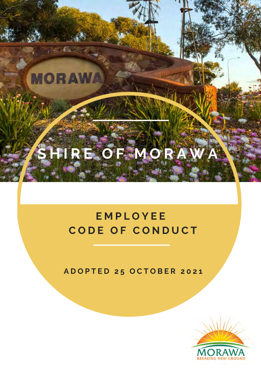# **S H I R E O F M O R A W A**

**MORAWA** 

# **E M P L O Y E E C O D E O F C O N D U C T**

**A D O P T E D 2 5 O C T O B E R 2 0 2 1**

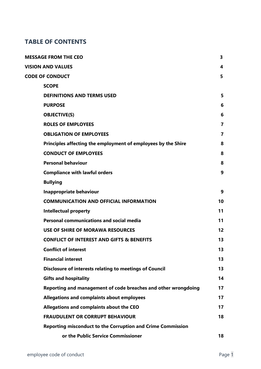### **TABLE OF CONTENTS**

| <b>MESSAGE FROM THE CEO</b>                                        | 3              |
|--------------------------------------------------------------------|----------------|
| <b>VISION AND VALUES</b>                                           | 4              |
| <b>CODE OF CONDUCT</b>                                             | 5              |
| <b>SCOPE</b>                                                       |                |
| <b>DEFINITIONS AND TERMS USED</b>                                  | 5              |
| <b>PURPOSE</b>                                                     | 6              |
| <b>OBJECTIVE(S)</b>                                                | 6              |
| <b>ROLES OF EMPLOYEES</b>                                          | $\overline{7}$ |
| <b>OBLIGATION OF EMPLOYEES</b>                                     | $\overline{7}$ |
| Principles affecting the employment of employees by the Shire      | 8              |
| <b>CONDUCT OF EMPLOYEES</b>                                        | 8              |
| <b>Personal behaviour</b>                                          | 8              |
| <b>Compliance with lawful orders</b>                               | 9              |
| <b>Bullying</b>                                                    |                |
| <b>Inappropriate behaviour</b>                                     | 9              |
| <b>COMMUNICATION AND OFFICIAL INFORMATION</b>                      | 10             |
| <b>Intellectual property</b>                                       | 11             |
| <b>Personal communications and social media</b>                    | 11             |
| <b>USE OF SHIRE OF MORAWA RESOURCES</b>                            | 12             |
| <b>CONFLICT OF INTEREST AND GIFTS &amp; BENEFITS</b>               | 13             |
| <b>Conflict of interest</b>                                        | 13             |
| <b>Financial interest</b>                                          | 13             |
| Disclosure of interests relating to meetings of Council            | 13             |
| <b>Gifts and hospitality</b>                                       | 14             |
| Reporting and management of code breaches and other wrongdoing     | 17             |
| Allegations and complaints about employees                         | 17             |
| Allegations and complaints about the CEO                           | 17             |
| <b>FRAUDULENT OR CORRUPT BEHAVIOUR</b>                             | 18             |
| <b>Reporting misconduct to the Corruption and Crime Commission</b> |                |
| or the Public Service Commissioner                                 | 18             |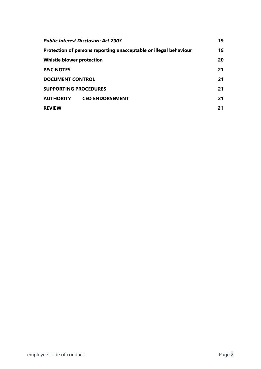| <b>Public Interest Disclosure Act 2003</b>                        |                        |    |  |  |
|-------------------------------------------------------------------|------------------------|----|--|--|
| Protection of persons reporting unacceptable or illegal behaviour |                        |    |  |  |
| <b>Whistle blower protection</b>                                  |                        |    |  |  |
| <b>P&amp;C NOTES</b>                                              |                        | 21 |  |  |
| <b>DOCUMENT CONTROL</b>                                           |                        |    |  |  |
| <b>SUPPORTING PROCEDURES</b>                                      |                        |    |  |  |
| <b>AUTHORITY</b>                                                  | <b>CEO ENDORSEMENT</b> | 21 |  |  |
| <b>REVIEW</b>                                                     |                        | 21 |  |  |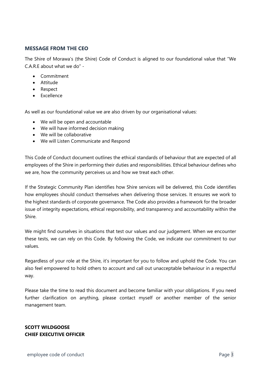#### <span id="page-3-0"></span>**MESSAGE FROM THE CEO**

The Shire of Morawa's (the Shire) Code of Conduct is aligned to our foundational value that "We C.A.R.E about what we do" -

- Commitment
- Attitude
- Respect
- Excellence

As well as our foundational value we are also driven by our organisational values:

- We will be open and accountable
- We will have informed decision making
- We will be collaborative
- We will Listen Communicate and Respond

This Code of Conduct document outlines the ethical standards of behaviour that are expected of all employees of the Shire in performing their duties and responsibilities. Ethical behaviour defines who we are, how the community perceives us and how we treat each other.

If the Strategic Community Plan identifies how Shire services will be delivered, this Code identifies how employees should conduct themselves when delivering those services. It ensures we work to the highest standards of corporate governance. The Code also provides a framework for the broader issue of integrity expectations, ethical responsibility, and transparency and accountability within the Shire.

We might find ourselves in situations that test our values and our judgement. When we encounter these tests, we can rely on this Code. By following the Code, we indicate our commitment to our values.

Regardless of your role at the Shire, it's important for you to follow and uphold the Code. You can also feel empowered to hold others to account and call out unacceptable behaviour in a respectful way.

Please take the time to read this document and become familiar with your obligations. If you need further clarification on anything, please contact myself or another member of the senior management team.

#### **SCOTT WILDGOOSE CHIEF EXECUTIVE OFFICER**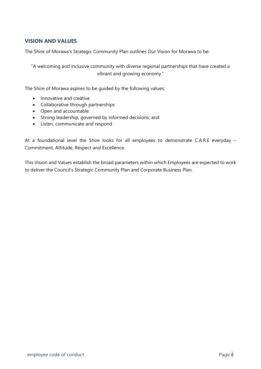#### <span id="page-4-0"></span>**VISION AND VALUES**

The Shire of Morawa's Strategic Community Plan outlines Our Vision for Morawa to be:

"A welcoming and inclusive community with diverse regional partnerships that have created a vibrant and growing economy."

The Shire of Morawa aspires to be guided by the following values:

- Innovative and creative
- Collaborative through partnerships
- Open and accountable
- Strong leadership, governed by informed decisions; and
- Listen, communicate and respond

At a foundational level the Shire looks for all employees to demonstrate C.A.R.E everyday – Commitment, Attitude, Respect and Excellence.

This Vision and Values establish the broad parameters within which Employees are expected to work to deliver the Council's Strategic Community Plan and Corporate Business Plan.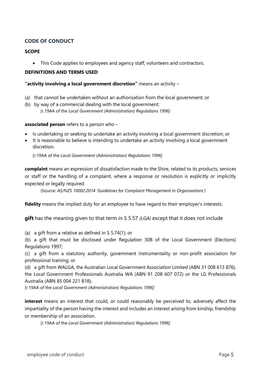#### <span id="page-5-0"></span>**CODE OF CONDUCT**

#### <span id="page-5-1"></span>**SCOPE**

• This Code applies to employees and agency staff, volunteers and contractors.

#### <span id="page-5-2"></span>**DEFINITIONS AND TERMS USED**

#### **"activity involving a local government discretion"** means an activity –

- (a) that cannot be undertaken without an authorisation from the local government; or
- (b) by way of a commercial dealing with the local government; [r.19AA of the *Local Government (Administration) Regulations 1996]*

#### **associated person** refers to a person who –

- Is undertaking or seeking to undertake an activity involving a local government discretion; or
- It is reasonable to believe is intending to undertake an activity involving a local government discretion.

[r.19AA of the *Local Government (Administration) Regulations 1996]*

**complaint** means an expression of dissatisfaction made to the Shire, related to its products, services or staff or the handling of a complaint, where a response or resolution is explicitly or implicitly expected or legally required

(Source: *AS/NZS 10002:2014 'Guidelines for Complaint Management in Organisations')*

**fidelity** means the implied duty for an employee to have regard to their employer's interests.

**gift** has the meaning given to that term in S 5.57 *(LGA)* except that it does not include

(a) a gift from a relative as defined in S 5.74(1); or

(b) a gift that must be disclosed under Regulation 30B of the Local Government (Elections) Regulations 1997;

(c) a gift from a statutory authority, government instrumentality or non-profit association for professional training; or

(d) a gift from WALGA, the Australian Local Government Association Limited (ABN 31 008 613 876), the Local Government Professionals Australia WA (ABN 91 208 607 072) or the LG Professionals Australia (ABN 85 004 221 818);

[r.19AA of the *Local Government (Administration) Regulations 1996]*

**interest** means an interest that could, or could reasonably be perceived to, adversely affect the impartiality of the person having the interest and includes an interest arising from kinship, friendship or membership of an association.

[r.19AA of the *Local Government (Administration) Regulations 1996]*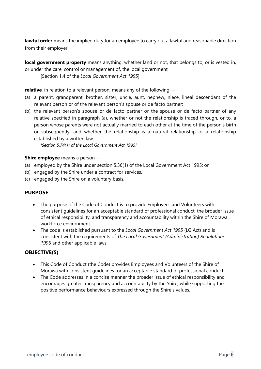**lawful order** means the implied duty for an employee to carry out a lawful and reasonable direction from their employer.

**local government property** means anything, whether land or not, that belongs to, or is vested in, or under the care, control or management of, the local government

[Section 1.4 of the *Local Government Act 1995*]

**relative**, in relation to a relevant person, means any of the following —

- (a) a parent, grandparent, brother, sister, uncle, aunt, nephew, niece, lineal descendant of the relevant person or of the relevant person's spouse or de facto partner;
- (b) the relevant person's spouse or de facto partner or the spouse or de facto partner of any relative specified in paragraph (a), whether or not the relationship is traced through, or to, a person whose parents were not actually married to each other at the time of the person's birth or subsequently, and whether the relationship is a natural relationship or a relationship established by a written law.

*[Section 5.74(1) of the Local Government Act 1995]*

#### **Shire employee** means a person —

- (a) employed by the Shire under section 5.36(1) of the Local Government Act 1995; or
- (b) engaged by the Shire under a contract for services.
- (c) engaged by the Shire on a voluntary basis.

#### <span id="page-6-0"></span>**PURPOSE**

- The purpose of the Code of Conduct is to provide Employees and Volunteers with consistent guidelines for an acceptable standard of professional conduct, the broader issue of ethical responsibility, and transparency and accountability within the Shire of Morawa workforce environment.
- The code is established pursuant to the *Local Government Act 1995* (LG Act) and is consistent with the requirements of *The Local Government (Administration) Regulations 1996* and other applicable laws.

#### <span id="page-6-1"></span>**OBJECTIVE(S)**

- This Code of Conduct (the Code) provides Employees and Volunteers of the Shire of Morawa with consistent guidelines for an acceptable standard of professional conduct.
- The Code addresses in a concise manner the broader issue of ethical responsibility and encourages greater transparency and accountability by the Shire, while supporting the positive performance behaviours expressed through the Shire's values.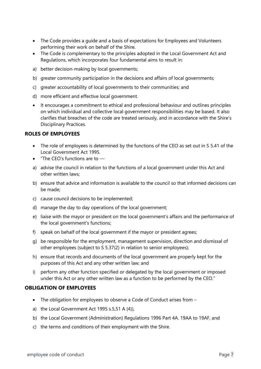- The Code provides a guide and a basis of expectations for Employees and Volunteers performing their work on behalf of the Shire.
- The Code is complementary to the principles adopted in the Local Government Act and Regulations, which incorporates four fundamental aims to result in:
- a) better decision-making by local governments;
- b) greater community participation in the decisions and affairs of local governments;
- c) greater accountability of local governments to their communities; and
- d) more efficient and effective local government.
- It encourages a commitment to ethical and professional behaviour and outlines principles on which individual and collective local government responsibilities may be based. It also clarifies that breaches of the code are treated seriously, and in accordance with the Shire's Disciplinary Practices.

#### <span id="page-7-0"></span>**ROLES OF EMPLOYEES**

- The role of employees is determined by the functions of the CEO as set out in S 5.41 of the Local Government Act 1995.
- $\bullet$  "The CEO's functions are to  $\leftarrow$
- a) advise the council in relation to the functions of a local government under this Act and other written laws;
- b) ensure that advice and information is available to the council so that informed decisions can be made;
- c) cause council decisions to be implemented;
- d) manage the day to day operations of the local government;
- e) liaise with the mayor or president on the local government's affairs and the performance of the local government's functions;
- f) speak on behalf of the local government if the mayor or president agrees;
- g) be responsible for the employment, management supervision, direction and dismissal of other employees (subject to S 5.37(2) in relation to senior employees);
- h) ensure that records and documents of the local government are properly kept for the purposes of this Act and any other written law; and
- i) perform any other function specified or delegated by the local government or imposed under this Act or any other written law as a function to be performed by the CEO."

#### <span id="page-7-1"></span>**OBLIGATION OF EMPLOYEES**

- The obligation for employees to observe a Code of Conduct arises from –
- a) the Local Government Act 1995 s.5,51 A (4)),
- b) the Local Government (Administration) Regulations 1996 Part 4A. 19AA to 19AF, and
- c) the terms and conditions of their employment with the Shire.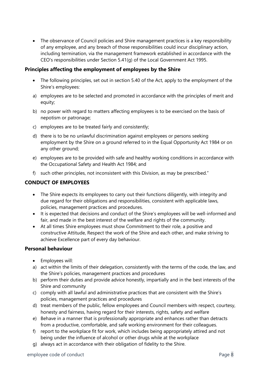• The observance of Council policies and Shire management practices is a key responsibility of any employee, and any breach of those responsibilities could incur disciplinary action, including termination, via the management framework established in accordance with the CEO's responsibilities under Section 5.41(g) of the Local Government Act 1995.

#### <span id="page-8-0"></span>**Principles affecting the employment of employees by the Shire**

- The following principles, set out in section 5.40 of the Act, apply to the employment of the Shire's employees:
- a) employees are to be selected and promoted in accordance with the principles of merit and equity;
- b) no power with regard to matters affecting employees is to be exercised on the basis of nepotism or patronage;
- c) employees are to be treated fairly and consistently;
- d) there is to be no unlawful discrimination against employees or persons seeking employment by the Shire on a ground referred to in the Equal Opportunity Act 1984 or on any other ground;
- e) employees are to be provided with safe and healthy working conditions in accordance with the Occupational Safety and Health Act 1984; and
- f) such other principles, not inconsistent with this Division, as may be prescribed."

#### <span id="page-8-1"></span>**CONDUCT OF EMPLOYEES**

- The Shire expects its employees to carry out their functions diligently, with integrity and due regard for their obligations and responsibilities, consistent with applicable laws, policies, management practices and procedures.
- It is expected that decisions and conduct of the Shire's employees will be well-informed and fair, and made in the best interest of the welfare and rights of the community.
- At all times Shire employees must show Commitment to their role, a positive and constructive Attitude, Respect the work of the Shire and each other, and make striving to achieve Excellence part of every day behaviour.

#### <span id="page-8-2"></span>**Personal behaviour**

- Employees will:
- a) act within the limits of their delegation, consistently with the terms of the code, the law, and the Shire's policies, management practices and procedures
- b) perform their duties and provide advice honestly, impartially and in the best interests of the Shire and community
- c) comply with all lawful and administrative practices that are consistent with the Shire's policies, management practices and procedures
- d) treat members of the public, fellow employees and Council members with respect, courtesy, honesty and fairness, having regard for their interests, rights, safety and welfare
- e) Behave in a manner that is professionally appropriate and enhances rather than detracts from a productive, comfortable, and safe working environment for their colleagues.
- f) report to the workplace fit for work, which includes being appropriately attired and not being under the influence of alcohol or other drugs while at the workplace
- g) always act in accordance with their obligation of fidelity to the Shire.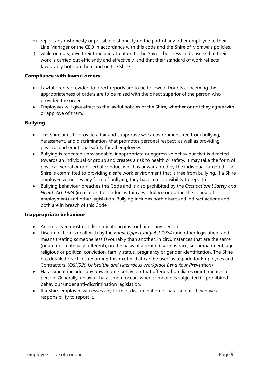- h) report any dishonesty or possible dishonesty on the part of any other employee to their Line Manager or the CEO in accordance with this code and the Shire of Morawa's policies.
- i) while on duty, give their time and attention to the Shire's business and ensure that their work is carried out efficiently and effectively, and that their standard of work reflects favourably both on them and on the Shire.

#### <span id="page-9-0"></span>**Compliance with lawful orders**

- Lawful orders provided to direct reports are to be followed. Doubts concerning the appropriateness of orders are to be raised with the direct superior of the person who provided the order.
- Employees will give effect to the lawful policies of the Shire, whether or not they agree with or approve of them.

#### <span id="page-9-1"></span>**Bullying**

- The Shire aims to provide a fair and supportive work environment free from bullying, harassment, and discrimination, that promotes personal respect, as well as providing physical and emotional safety for all employees.
- Bullying is repeated unreasonable, inappropriate or aggressive behaviour that is directed towards an individual or group and creates a risk to health or safety. It may take the form of physical, verbal or non-verbal conduct which is unwarranted by the individual targeted. The Shire is committed to providing a safe work environment that is free from bullying. If a Shire employee witnesses any form of bullying, they have a responsibility to report it.
- Bullying behaviour breaches this Code and is also prohibited by the *Occupational Safety and Health Act 1984* (in relation to conduct within a workplace or during the course of employment) and other legislation. Bullying includes both direct and indirect actions and both are in breach of this Code.

#### <span id="page-9-2"></span>**Inappropriate behaviour**

- An employee must not discriminate against or harass any person.
- Discrimination is dealt with by the *Equal Opportunity Act 1984* (and other legislation) and means treating someone less favourably than another, in circumstances that are the same (or are not materially different), on the basis of a ground such as race, sex, impairment, age, religious or political conviction, family status, pregnancy or gender identification. The Shire has detailed practices regarding this matter that can be used as a guide for Employees and Contractors. (*OSH020 Unhealthy and Hazardous Workplace Behaviour Prevention*)
- Harassment includes any unwelcome behaviour that offends, humiliates or intimidates a person. Generally, unlawful harassment occurs when someone is subjected to prohibited behaviour under anti-discrimination legislation.
- If a Shire employee witnesses any form of discrimination or harassment, they have a responsibility to report it.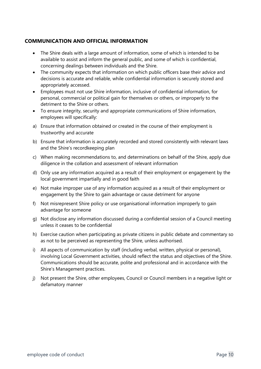#### <span id="page-10-0"></span>**COMMUNICATION AND OFFICIAL INFORMATION**

- The Shire deals with a large amount of information, some of which is intended to be available to assist and inform the general public, and some of which is confidential, concerning dealings between individuals and the Shire.
- The community expects that information on which public officers base their advice and decisions is accurate and reliable, while confidential information is securely stored and appropriately accessed.
- Employees must not use Shire information, inclusive of confidential information, for personal, commercial or political gain for themselves or others, or improperly to the detriment to the Shire or others.
- To ensure integrity, security and appropriate communications of Shire information, employees will specifically:
- a) Ensure that information obtained or created in the course of their employment is trustworthy and accurate
- b) Ensure that information is accurately recorded and stored consistently with relevant laws and the Shire's recordkeeping plan
- c) When making recommendations to, and determinations on behalf of the Shire, apply due diligence in the collation and assessment of relevant information
- d) Only use any information acquired as a result of their employment or engagement by the local government impartially and in good faith
- e) Not make improper use of any information acquired as a result of their employment or engagement by the Shire to gain advantage or cause detriment for anyone
- f) Not misrepresent Shire policy or use organisational information improperly to gain advantage for someone
- g) Not disclose any information discussed during a confidential session of a Council meeting unless it ceases to be confidential
- h) Exercise caution when participating as private citizens in public debate and commentary so as not to be perceived as representing the Shire, unless authorised.
- i) All aspects of communication by staff (including verbal, written, physical or personal), involving Local Government activities, should reflect the status and objectives of the Shire. Communications should be accurate, polite and professional and in accordance with the Shire's Management practices.
- j) Not present the Shire, other employees, Council or Council members in a negative light or defamatory manner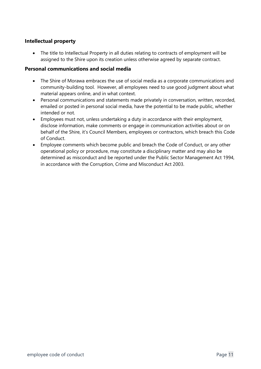#### <span id="page-11-0"></span>**Intellectual property**

• The title to Intellectual Property in all duties relating to contracts of employment will be assigned to the Shire upon its creation unless otherwise agreed by separate contract.

#### <span id="page-11-1"></span>**Personal communications and social media**

- The Shire of Morawa embraces the use of social media as a corporate communications and community-building tool. However, all employees need to use good judgment about what material appears online, and in what context.
- Personal communications and statements made privately in conversation, written, recorded, emailed or posted in personal social media, have the potential to be made public, whether intended or not.
- Employees must not, unless undertaking a duty in accordance with their employment, disclose information, make comments or engage in communication activities about or on behalf of the Shire, it's Council Members, employees or contractors, which breach this Code of Conduct.
- Employee comments which become public and breach the Code of Conduct, or any other operational policy or procedure, may constitute a disciplinary matter and may also be determined as misconduct and be reported under the Public Sector Management Act 1994, in accordance with the Corruption, Crime and Misconduct Act 2003.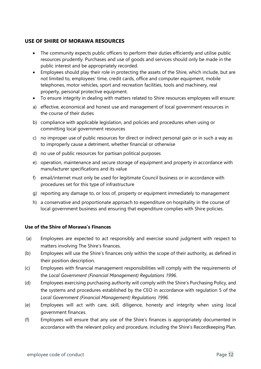#### <span id="page-12-0"></span>**USE OF SHIRE OF MORAWA RESOURCES**

- The community expects public officers to perform their duties efficiently and utilise public resources prudently. Purchases and use of goods and services should only be made in the public interest and be appropriately recorded.
- Employees should play their role in protecting the assets of the Shire, which include, but are not limited to, employees' time, credit cards, office and computer equipment, mobile telephones, motor vehicles, sport and recreation facilities, tools and machinery, real property, personal protective equipment.
- To ensure integrity in dealing with matters related to Shire resources employees will ensure:
- a) effective, economical and honest use and management of local government resources in the course of their duties
- b) compliance with applicable legislation, and policies and procedures when using or committing local government resources
- c) no improper use of public resources for direct or indirect personal gain or in such a way as to improperly cause a detriment, whether financial or otherwise
- d) no use of public resources for partisan political purposes
- e) operation, maintenance and secure storage of equipment and property in accordance with manufacturer specifications and its value
- f) email/internet must only be used for legitimate Council business or in accordance with procedures set for this type of infrastructure
- g) reporting any damage to, or loss of, property or equipment immediately to management
- h) a conservative and proportionate approach to expenditure on hospitality in the course of local government business and ensuring that expenditure complies with Shire policies.

#### **Use of the Shire of Morawa's Finances**

- (a) Employees are expected to act responsibly and exercise sound judgment with respect to matters involving The Shire's finances.
- (b) Employees will use the Shire's finances only within the scope of their authority, as defined in their position description.
- (c) Employees with financial management responsibilities will comply with the requirements of the *Local Government (Financial Management) Regulations 1996*.
- (d) Employees exercising purchasing authority will comply with the Shire's Purchasing Policy, and the systems and procedures established by the CEO in accordance with regulation 5 of the *Local Government (Financial Management) Regulations 1996.*
- (e) Employees will act with care, skill, diligence, honesty and integrity when using local government finances.
- (f) Employees will ensure that any use of the Shire's finances is appropriately documented in accordance with the relevant policy and procedure, including the Shire's Recordkeeping Plan.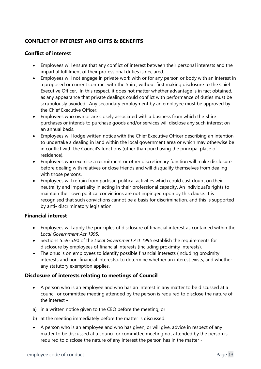#### <span id="page-13-0"></span>**CONFLICT OF INTEREST AND GIFTS & BENEFITS**

#### <span id="page-13-1"></span>**Conflict of interest**

- Employees will ensure that any conflict of interest between their personal interests and the impartial fulfilment of their professional duties is declared.
- Employees will not engage in private work with or for any person or body with an interest in a proposed or current contract with the Shire, without first making disclosure to the Chief Executive Officer. In this respect, it does not matter whether advantage is in fact obtained, as any appearance that private dealings could conflict with performance of duties must be scrupulously avoided. Any secondary employment by an employee must be approved by the Chief Executive Officer.
- Employees who own or are closely associated with a business from which the Shire purchases or intends to purchase goods and/or services will disclose any such interest on an annual basis.
- Employees will lodge written notice with the Chief Executive Officer describing an intention to undertake a dealing in land within the local government area or which may otherwise be in conflict with the Council's functions (other than purchasing the principal place of residence).
- Employees who exercise a recruitment or other discretionary function will make disclosure before dealing with relatives or close friends and will disqualify themselves from dealing with those persons.
- Employees will refrain from partisan political activities which could cast doubt on their neutrality and impartiality in acting in their professional capacity. An individual's rights to maintain their own political convictions are not impinged upon by this clause. It is recognised that such convictions cannot be a basis for discrimination, and this is supported by anti- discriminatory legislation.

#### <span id="page-13-2"></span>**Financial interest**

- Employees will apply the principles of disclosure of financial interest as contained within the *Local Government Act 1995.*
- Sections 5.59-5.90 of the *Local Government Act 1995* establish the requirements for disclosure by employees of financial interests (including proximity interests).
- The onus is on employees to identify possible financial interests (including proximity interests and non-financial interests), to determine whether an interest exists, and whether any statutory exemption applies.

#### <span id="page-13-3"></span>**Disclosure of interests relating to meetings of Council**

- A person who is an employee and who has an interest in any matter to be discussed at a council or committee meeting attended by the person is required to disclose the nature of the interest -
- a) in a written notice given to the CEO before the meeting; or
- b) at the meeting immediately before the matter is discussed.
- A person who is an employee and who has given, or will give, advice in respect of any matter to be discussed at a council or committee meeting not attended by the person is required to disclose the nature of any interest the person has in the matter -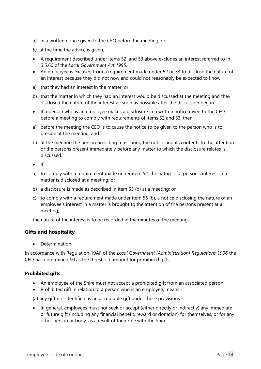- a) in a written notice given to the CEO before the meeting; or
- *b*) at the time the advice is given.
- A requirement described under items 52. and 53 above excludes an interest referred to in S 5.60 of the *Local Government Act 1995*.
- An employee is excused from a requirement made under 52 or 53 to disclose the nature of an interest because they did not now and could not reasonably be expected to know:
- a) that they had an interest in the matter; or
- b) that the matter in which they had an interest would be discussed at the meeting and they disclosed the nature of the interest as soon as possible after the discussion began.
- If a person who is an employee makes a disclosure in a written notice given to the CEO before a meeting to comply with requirements of items 52 and 53, then -
- a) before the meeting the CEO is to cause the notice to be given to the person who is to preside at the meeting; and
- b) at the meeting the person presiding must bring the notice and its contents to the attention of the persons present immediately before any matter to which the disclosure relates is discussed.
- $\bullet$  If:
- a) to comply with a requirement made under item 52, the nature of a person's interest in a matter is disclosed at a meeting; or
- b) a disclosure is made as described in item 55 (b) at a meeting; or
- c) to comply with a requirement made under item 56 (b), a notice disclosing the nature of an employee's interest in a matter is brought to the attention of the persons present at a meeting,

the nature of the interest is to be recorded in the minutes of the meeting.

#### <span id="page-14-0"></span>**Gifts and hospitality**

• Determination

In accordance with Regulation 19AF of the *Local Government (Administration) Regulations 1996* the CEO has determined \$0 as the threshold amount for prohibited gifts.

#### **Prohibited gifts**

- An employee of the Shire must not accept a prohibited gift from an associated person.
- Prohibited gift in relation to a person who is an employee, means -

(a) any gift not identified as an acceptable gift under these provisions.

• In general, employees must not seek or accept (either directly or indirectly) any immediate or future gift (including any financial benefit, reward or donation) for themselves, or for any other person or body, as a result of their role with the Shire.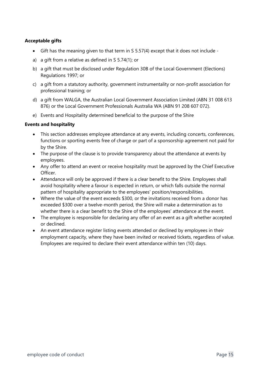#### **Acceptable gifts**

- Gift has the meaning given to that term in S 5.57(4) except that it does not include -
- a) a gift from a relative as defined in S 5.74(1); or
- b) a gift that must be disclosed under Regulation 30B of the Local Government (Elections) Regulations 1997; or
- c) a gift from a statutory authority, government instrumentality or non-profit association for professional training; or
- d) a gift from WALGA, the Australian Local Government Association Limited (ABN 31 008 613 876) or the Local Government Professionals Australia WA (ABN 91 208 607 072).
- e) Events and Hospitality determined beneficial to the purpose of the Shire

#### **Events and hospitality**

- This section addresses employee attendance at any events, including concerts, conferences, functions or sporting events free of charge or part of a sponsorship agreement not paid for by the Shire.
- The purpose of the clause is to provide transparency about the attendance at events by employees.
- Any offer to attend an event or receive hospitality must be approved by the Chief Executive Officer.
- Attendance will only be approved if there is a clear benefit to the Shire. Employees shall avoid hospitality where a favour is expected in return, or which falls outside the normal pattern of hospitality appropriate to the employees' position/responsibilities.
- Where the value of the event exceeds \$300, or the invitations received from a donor has exceeded \$300 over a twelve-month period, the Shire will make a determination as to whether there is a clear benefit to the Shire of the employees' attendance at the event.
- The employee is responsible for declaring any offer of an event as a gift whether accepted or declined.
- An event attendance register listing events attended or declined by employees in their employment capacity, where they have been invited or received tickets, regardless of value. Employees are required to declare their event attendance within ten (10) days.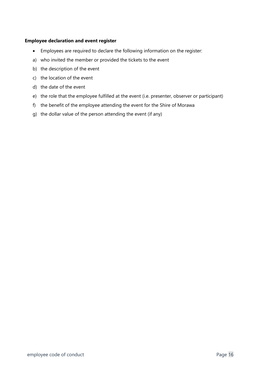#### **Employee declaration and event register**

- Employees are required to declare the following information on the register:
- a) who invited the member or provided the tickets to the event
- b) the description of the event
- c) the location of the event
- d) the date of the event
- e) the role that the employee fulfilled at the event (i.e. presenter, observer or participant)
- f) the benefit of the employee attending the event for the Shire of Morawa
- g) the dollar value of the person attending the event (if any)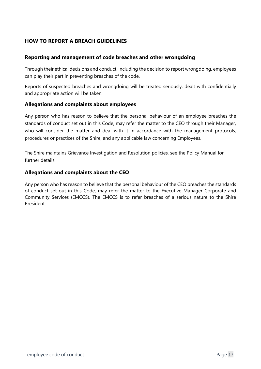#### **HOW TO REPORT A BREACH GUIDELINES**

#### <span id="page-17-0"></span>**Reporting and management of code breaches and other wrongdoing**

Through their ethical decisions and conduct, including the decision to report wrongdoing, employees can play their part in preventing breaches of the code.

Reports of suspected breaches and wrongdoing will be treated seriously, dealt with confidentially and appropriate action will be taken.

#### <span id="page-17-1"></span>**Allegations and complaints about employees**

Any person who has reason to believe that the personal behaviour of an employee breaches the standards of conduct set out in this Code, may refer the matter to the CEO through their Manager, who will consider the matter and deal with it in accordance with the management protocols, procedures or practices of the Shire, and any applicable law concerning Employees.

The Shire maintains Grievance Investigation and Resolution policies, see the Policy Manual for further details.

#### <span id="page-17-2"></span>**Allegations and complaints about the CEO**

Any person who has reason to believe that the personal behaviour of the CEO breaches the standards of conduct set out in this Code, may refer the matter to the Executive Manager Corporate and Community Services (EMCCS). The EMCCS is to refer breaches of a serious nature to the Shire President.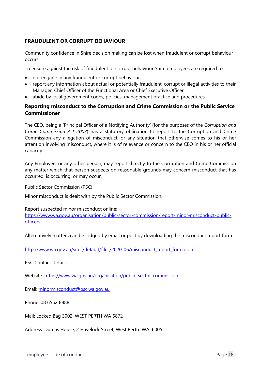#### <span id="page-18-0"></span>**FRAUDULENT OR CORRUPT BEHAVIOUR**

Community confidence in Shire decision making can be lost when fraudulent or corrupt behaviour occurs.

To ensure against the risk of fraudulent or corrupt behaviour Shire employees are required to:

- not engage in any fraudulent or corrupt behaviour
- report any information about actual or potentially fraudulent, corrupt or illegal activities to their Manager, Chief Officer of the Functional Area or Chief Executive Officer
- abide by local government codes, policies, management practice and procedures.

#### <span id="page-18-1"></span>**Reporting misconduct to the Corruption and Crime Commission or the Public Service Commissioner**

The CEO, being a 'Principal Officer of a Notifying Authority' (for the purposes of the *Corruption and Crime Commission Act 2003*) has a statutory obligation to report to the Corruption and Crime Commission any allegation of misconduct, or any situation that otherwise comes to his or her attention involving misconduct, where it is of relevance or concern to the CEO in his or her official capacity.

Any Employee, or any other person, may report directly to the Corruption and Crime Commission any matter which that person suspects on reasonable grounds may concern misconduct that has occurred, is occurring, or may occur.

Public Sector Commission (PSC)

Minor misconduct is dealt with by the Public Sector Commission.

Report suspected minor misconduct online:

[https://www.wa.gov.au/organisation/public-sector-commission/report-minor-misconduct-public](https://www.wa.gov.au/organisation/public-sector-commission/report-minor-misconduct-public-officers)[officers](https://www.wa.gov.au/organisation/public-sector-commission/report-minor-misconduct-public-officers)

Alternatively matters can be lodged by email or post by downloading the misconduct report form.

[http://www.wa.gov.au/sites/default/files/2020-06/misconduct\\_report\\_form.docx](http://www.wa.gov.au/sites/default/files/2020-06/misconduct_report_form.docx)

PSC Contact Details:

Website: <https://www.wa.gov.au/organisation/public-sector-commission>

Email: [minormisconduct@psc.wa.gov.au](mailto:minormisconduct@psc.wa.gov.au)

Phone: 08 6552 8888

Mail: Locked Bag 3002, WEST PERTH WA 6872

Address: Dumas House, 2 Havelock Street, West Perth WA 6005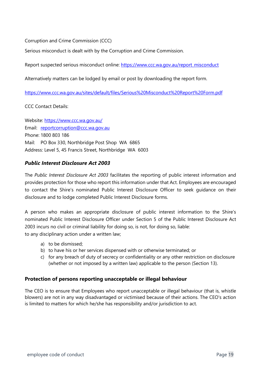Corruption and Crime Commission (CCC)

Serious misconduct is dealt with by the Corruption and Crime Commission.

Report suspected serious misconduct online: [https://www.ccc.wa.gov.au/report\\_misconduct](https://www.ccc.wa.gov.au/report_misconduct)

Alternatively matters can be lodged by email or post by downloading the report form.

<https://www.ccc.wa.gov.au/sites/default/files/Serious%20Misconduct%20Report%20Form.pdf>

CCC Contact Details:

Website:<https://www.ccc.wa.gov.au/> Email: [reportcorruption@ccc.wa.gov.au](mailto:info@ccc.wa.gov.au) Phone: 1800 803 186 Mail: PO Box 330, Northbridge Post Shop WA 6865 Address: Level 5, 45 Francis Street, Northbridge WA 6003

#### <span id="page-19-0"></span>*Public Interest Disclosure Act 2003*

The *Public Interest Disclosure Act 2003* facilitates the reporting of public interest information and provides protection for those who report this information under that Act. Employees are encouraged to contact the Shire's nominated Public Interest Disclosure Officer to seek guidance on their disclosure and to lodge completed Public Interest Disclosure forms.

A person who makes an appropriate disclosure of public interest information to the Shire's nominated Public Interest Disclosure Officer under Section 5 of the Public Interest Disclosure Act 2003 incurs no civil or criminal liability for doing so, is not, for doing so, liable: to any disciplinary action under a written law;

- a) to be dismissed;
- b) to have his or her services dispensed with or otherwise terminated; or
- c) for any breach of duty of secrecy or confidentiality or any other restriction on disclosure (whether or not imposed by a written law) applicable to the person (Section 13).

#### <span id="page-19-1"></span>**Protection of persons reporting unacceptable or illegal behaviour**

The CEO is to ensure that Employees who report unacceptable or illegal behaviour (that is, whistle blowers) are not in any way disadvantaged or victimised because of their actions. The CEO's action is limited to matters for which he/she has responsibility and/or jurisdiction to act.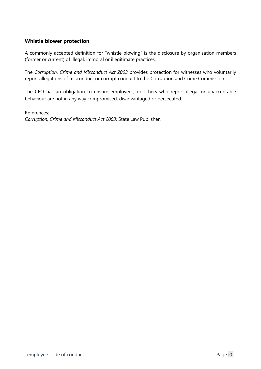#### <span id="page-20-0"></span>**Whistle blower protection**

A commonly accepted definition for "whistle blowing" is the disclosure by organisation members (former or current) of illegal, immoral or illegitimate practices.

The *Corruption, Crime and Misconduct Act 2003* provides protection for witnesses who voluntarily report allegations of misconduct or corrupt conduct to the Corruption and Crime Commission.

The CEO has an obligation to ensure employees, or others who report illegal or unacceptable behaviour are not in any way compromised, disadvantaged or persecuted.

#### References:

*Corruption, Crime and Misconduct Act 2003:* State Law Publisher.